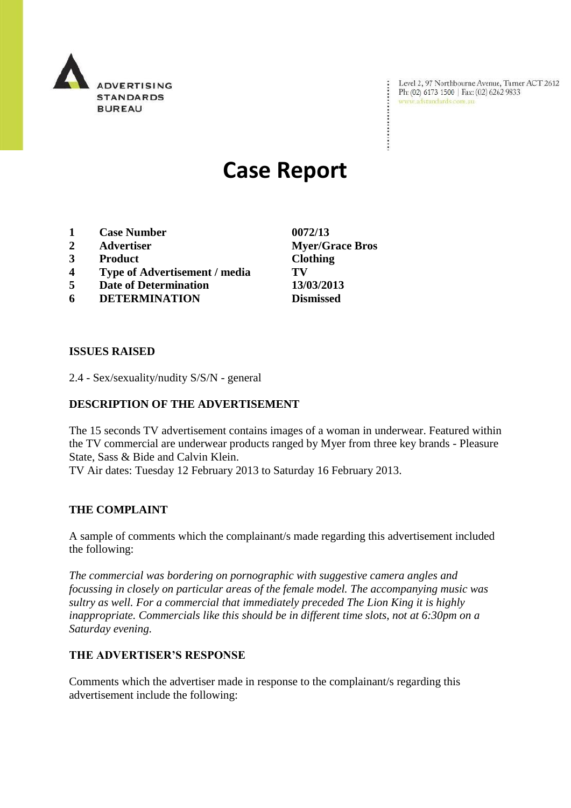

Level 2, 97 Northbourne Avenue, Turner ACT 2612 Ph: (02) 6173 1500 | Fax: (02) 6262 9833 www.adstandards.com.au

# **Case Report**

- **1 Case Number 0072/13**
- **2 Advertiser Myer/Grace Bros**
- **3 Product Clothing**
- **4 Type of Advertisement / media TV**
- **5 Date of Determination 13/03/2013**
- **6 DETERMINATION Dismissed**

## **ISSUES RAISED**

2.4 - Sex/sexuality/nudity S/S/N - general

# **DESCRIPTION OF THE ADVERTISEMENT**

The 15 seconds TV advertisement contains images of a woman in underwear. Featured within the TV commercial are underwear products ranged by Myer from three key brands - Pleasure State, Sass & Bide and Calvin Klein.

TV Air dates: Tuesday 12 February 2013 to Saturday 16 February 2013.

#### **THE COMPLAINT**

A sample of comments which the complainant/s made regarding this advertisement included the following:

*The commercial was bordering on pornographic with suggestive camera angles and focussing in closely on particular areas of the female model. The accompanying music was sultry as well. For a commercial that immediately preceded The Lion King it is highly inappropriate. Commercials like this should be in different time slots, not at 6:30pm on a Saturday evening.*

#### **THE ADVERTISER'S RESPONSE**

Comments which the advertiser made in response to the complainant/s regarding this advertisement include the following: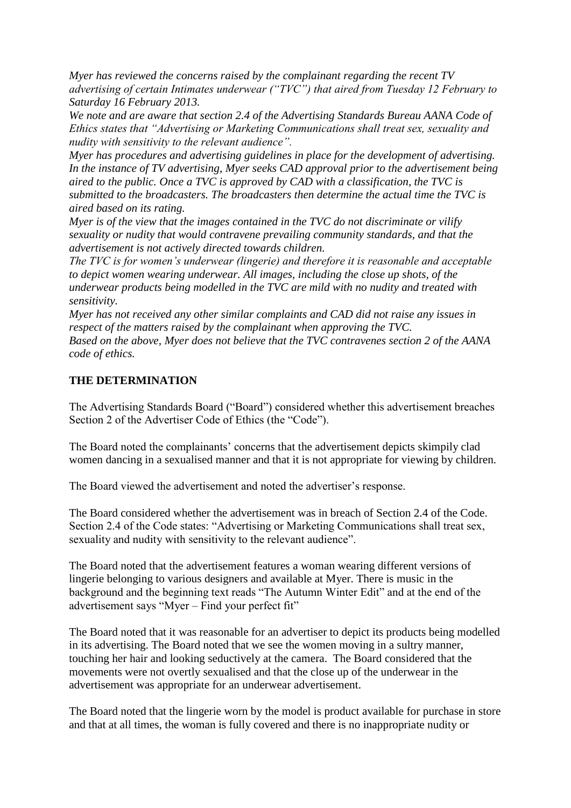*Myer has reviewed the concerns raised by the complainant regarding the recent TV advertising of certain Intimates underwear ("TVC") that aired from Tuesday 12 February to Saturday 16 February 2013.*

*We note and are aware that section 2.4 of the Advertising Standards Bureau AANA Code of Ethics states that "Advertising or Marketing Communications shall treat sex, sexuality and nudity with sensitivity to the relevant audience".*

*Myer has procedures and advertising guidelines in place for the development of advertising. In the instance of TV advertising, Myer seeks CAD approval prior to the advertisement being aired to the public. Once a TVC is approved by CAD with a classification, the TVC is submitted to the broadcasters. The broadcasters then determine the actual time the TVC is aired based on its rating.*

*Myer is of the view that the images contained in the TVC do not discriminate or vilify sexuality or nudity that would contravene prevailing community standards, and that the advertisement is not actively directed towards children.*

*The TVC is for women's underwear (lingerie) and therefore it is reasonable and acceptable to depict women wearing underwear. All images, including the close up shots, of the underwear products being modelled in the TVC are mild with no nudity and treated with sensitivity.*

*Myer has not received any other similar complaints and CAD did not raise any issues in respect of the matters raised by the complainant when approving the TVC.*

*Based on the above, Myer does not believe that the TVC contravenes section 2 of the AANA code of ethics.*

## **THE DETERMINATION**

The Advertising Standards Board ("Board") considered whether this advertisement breaches Section 2 of the Advertiser Code of Ethics (the "Code").

The Board noted the complainants' concerns that the advertisement depicts skimpily clad women dancing in a sexualised manner and that it is not appropriate for viewing by children.

The Board viewed the advertisement and noted the advertiser's response.

The Board considered whether the advertisement was in breach of Section 2.4 of the Code. Section 2.4 of the Code states: "Advertising or Marketing Communications shall treat sex, sexuality and nudity with sensitivity to the relevant audience".

The Board noted that the advertisement features a woman wearing different versions of lingerie belonging to various designers and available at Myer. There is music in the background and the beginning text reads "The Autumn Winter Edit" and at the end of the advertisement says "Myer – Find your perfect fit"

The Board noted that it was reasonable for an advertiser to depict its products being modelled in its advertising. The Board noted that we see the women moving in a sultry manner, touching her hair and looking seductively at the camera. The Board considered that the movements were not overtly sexualised and that the close up of the underwear in the advertisement was appropriate for an underwear advertisement.

The Board noted that the lingerie worn by the model is product available for purchase in store and that at all times, the woman is fully covered and there is no inappropriate nudity or